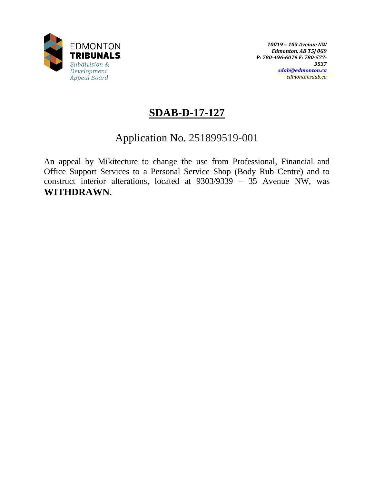

# **SDAB-D-17-127**

# Application No. 251899519-001

An appeal by Mikitecture to change the use from Professional, Financial and Office Support Services to a Personal Service Shop (Body Rub Centre) and to construct interior alterations, located at 9303/9339 – 35 Avenue NW, was **WITHDRAWN.**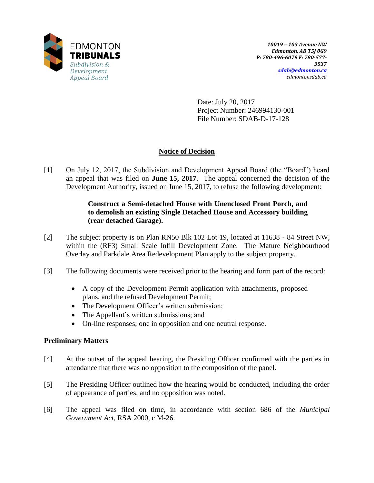

Date: July 20, 2017 Project Number: 246994130-001 File Number: SDAB-D-17-128

# **Notice of Decision**

[1] On July 12, 2017, the Subdivision and Development Appeal Board (the "Board") heard an appeal that was filed on **June 15, 2017**. The appeal concerned the decision of the Development Authority, issued on June 15, 2017, to refuse the following development:

## **Construct a Semi-detached House with Unenclosed Front Porch, and to demolish an existing Single Detached House and Accessory building (rear detached Garage).**

- [2] The subject property is on Plan RN50 Blk 102 Lot 19, located at 11638 84 Street NW, within the (RF3) Small Scale Infill Development Zone. The Mature Neighbourhood Overlay and Parkdale Area Redevelopment Plan apply to the subject property.
- [3] The following documents were received prior to the hearing and form part of the record:
	- A copy of the Development Permit application with attachments, proposed plans, and the refused Development Permit;
	- The Development Officer's written submission;
	- The Appellant's written submissions; and
	- On-line responses; one in opposition and one neutral response.

## **Preliminary Matters**

- [4] At the outset of the appeal hearing, the Presiding Officer confirmed with the parties in attendance that there was no opposition to the composition of the panel.
- [5] The Presiding Officer outlined how the hearing would be conducted, including the order of appearance of parties, and no opposition was noted.
- [6] The appeal was filed on time, in accordance with section 686 of the *Municipal Government Act*, RSA 2000, c M-26.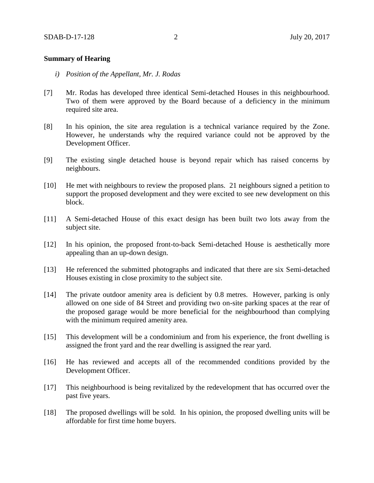### **Summary of Hearing**

- *i) Position of the Appellant, Mr. J. Rodas*
- [7] Mr. Rodas has developed three identical Semi-detached Houses in this neighbourhood. Two of them were approved by the Board because of a deficiency in the minimum required site area.
- [8] In his opinion, the site area regulation is a technical variance required by the Zone. However, he understands why the required variance could not be approved by the Development Officer.
- [9] The existing single detached house is beyond repair which has raised concerns by neighbours.
- [10] He met with neighbours to review the proposed plans. 21 neighbours signed a petition to support the proposed development and they were excited to see new development on this block.
- [11] A Semi-detached House of this exact design has been built two lots away from the subject site.
- [12] In his opinion, the proposed front-to-back Semi-detached House is aesthetically more appealing than an up-down design.
- [13] He referenced the submitted photographs and indicated that there are six Semi-detached Houses existing in close proximity to the subject site.
- [14] The private outdoor amenity area is deficient by 0.8 metres. However, parking is only allowed on one side of 84 Street and providing two on-site parking spaces at the rear of the proposed garage would be more beneficial for the neighbourhood than complying with the minimum required amenity area.
- [15] This development will be a condominium and from his experience, the front dwelling is assigned the front yard and the rear dwelling is assigned the rear yard.
- [16] He has reviewed and accepts all of the recommended conditions provided by the Development Officer.
- [17] This neighbourhood is being revitalized by the redevelopment that has occurred over the past five years.
- [18] The proposed dwellings will be sold. In his opinion, the proposed dwelling units will be affordable for first time home buyers.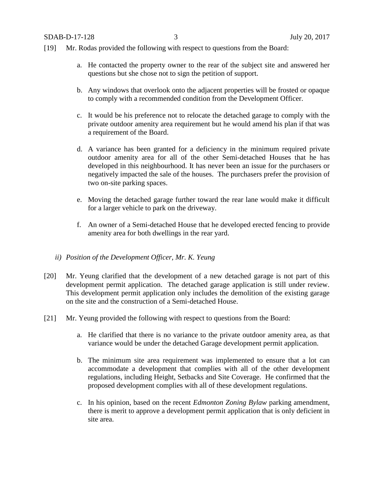SDAB-D-17-128 3 July 20, 2017

- [19] Mr. Rodas provided the following with respect to questions from the Board:
	- a. He contacted the property owner to the rear of the subject site and answered her questions but she chose not to sign the petition of support.
	- b. Any windows that overlook onto the adjacent properties will be frosted or opaque to comply with a recommended condition from the Development Officer.
	- c. It would be his preference not to relocate the detached garage to comply with the private outdoor amenity area requirement but he would amend his plan if that was a requirement of the Board.
	- d. A variance has been granted for a deficiency in the minimum required private outdoor amenity area for all of the other Semi-detached Houses that he has developed in this neighbourhood. It has never been an issue for the purchasers or negatively impacted the sale of the houses. The purchasers prefer the provision of two on-site parking spaces.
	- e. Moving the detached garage further toward the rear lane would make it difficult for a larger vehicle to park on the driveway.
	- f. An owner of a Semi-detached House that he developed erected fencing to provide amenity area for both dwellings in the rear yard.

#### *ii) Position of the Development Officer, Mr. K. Yeung*

- [20] Mr. Yeung clarified that the development of a new detached garage is not part of this development permit application. The detached garage application is still under review. This development permit application only includes the demolition of the existing garage on the site and the construction of a Semi-detached House.
- [21] Mr. Yeung provided the following with respect to questions from the Board:
	- a. He clarified that there is no variance to the private outdoor amenity area, as that variance would be under the detached Garage development permit application.
	- b. The minimum site area requirement was implemented to ensure that a lot can accommodate a development that complies with all of the other development regulations, including Height, Setbacks and Site Coverage. He confirmed that the proposed development complies with all of these development regulations.
	- c. In his opinion, based on the recent *Edmonton Zoning Bylaw* parking amendment, there is merit to approve a development permit application that is only deficient in site area.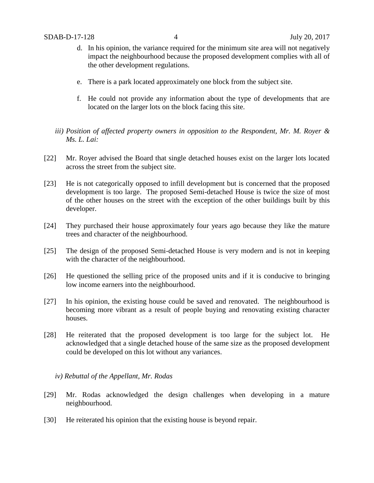- d. In his opinion, the variance required for the minimum site area will not negatively impact the neighbourhood because the proposed development complies with all of the other development regulations.
- e. There is a park located approximately one block from the subject site.
- f. He could not provide any information about the type of developments that are located on the larger lots on the block facing this site.
- *iii) Position of affected property owners in opposition to the Respondent, Mr. M. Royer & Ms. L. Lai:*
- [22] Mr. Royer advised the Board that single detached houses exist on the larger lots located across the street from the subject site.
- [23] He is not categorically opposed to infill development but is concerned that the proposed development is too large. The proposed Semi-detached House is twice the size of most of the other houses on the street with the exception of the other buildings built by this developer.
- [24] They purchased their house approximately four years ago because they like the mature trees and character of the neighbourhood.
- [25] The design of the proposed Semi-detached House is very modern and is not in keeping with the character of the neighbourhood.
- [26] He questioned the selling price of the proposed units and if it is conducive to bringing low income earners into the neighbourhood.
- [27] In his opinion, the existing house could be saved and renovated. The neighbourhood is becoming more vibrant as a result of people buying and renovating existing character houses.
- [28] He reiterated that the proposed development is too large for the subject lot. He acknowledged that a single detached house of the same size as the proposed development could be developed on this lot without any variances.
	- *iv) Rebuttal of the Appellant, Mr. Rodas*
- [29] Mr. Rodas acknowledged the design challenges when developing in a mature neighbourhood.
- [30] He reiterated his opinion that the existing house is beyond repair.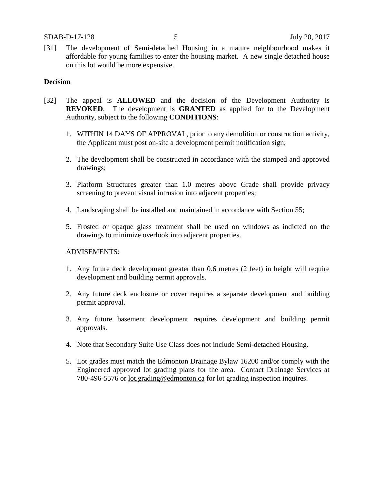[31] The development of Semi-detached Housing in a mature neighbourhood makes it affordable for young families to enter the housing market. A new single detached house on this lot would be more expensive.

#### **Decision**

- [32] The appeal is **ALLOWED** and the decision of the Development Authority is **REVOKED**. The development is **GRANTED** as applied for to the Development Authority, subject to the following **CONDITIONS**:
	- 1. WITHIN 14 DAYS OF APPROVAL, prior to any demolition or construction activity, the Applicant must post on-site a development permit notification sign;
	- 2. The development shall be constructed in accordance with the stamped and approved drawings;
	- 3. Platform Structures greater than 1.0 metres above Grade shall provide privacy screening to prevent visual intrusion into adjacent properties;
	- 4. Landscaping shall be installed and maintained in accordance with Section 55;
	- 5. Frosted or opaque glass treatment shall be used on windows as indicted on the drawings to minimize overlook into adjacent properties.

#### ADVISEMENTS:

- 1. Any future deck development greater than 0.6 metres (2 feet) in height will require development and building permit approvals.
- 2. Any future deck enclosure or cover requires a separate development and building permit approval.
- 3. Any future basement development requires development and building permit approvals.
- 4. Note that Secondary Suite Use Class does not include Semi-detached Housing.
- 5. Lot grades must match the Edmonton Drainage Bylaw 16200 and/or comply with the Engineered approved lot grading plans for the area. Contact Drainage Services at 780-496-5576 or [lot.grading@edmonton.ca](mailto:lot.grading@edmonton.ca) for lot grading inspection inquires.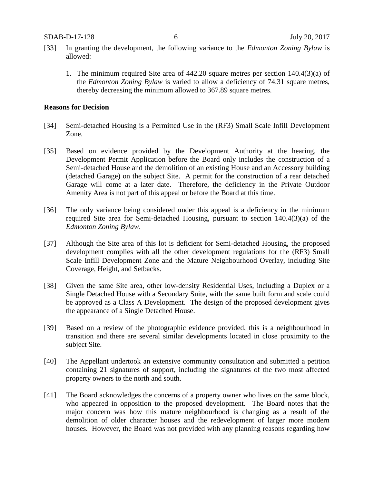- [33] In granting the development, the following variance to the *Edmonton Zoning Bylaw* is allowed:
	- 1. The minimum required Site area of 442.20 square metres per section 140.4(3)(a) of the *Edmonton Zoning Bylaw* is varied to allow a deficiency of 74.31 square metres, thereby decreasing the minimum allowed to 367.89 square metres.

## **Reasons for Decision**

- [34] Semi-detached Housing is a Permitted Use in the (RF3) Small Scale Infill Development Zone.
- [35] Based on evidence provided by the Development Authority at the hearing, the Development Permit Application before the Board only includes the construction of a Semi-detached House and the demolition of an existing House and an Accessory building (detached Garage) on the subject Site. A permit for the construction of a rear detached Garage will come at a later date. Therefore, the deficiency in the Private Outdoor Amenity Area is not part of this appeal or before the Board at this time.
- [36] The only variance being considered under this appeal is a deficiency in the minimum required Site area for Semi-detached Housing, pursuant to section 140.4(3)(a) of the *Edmonton Zoning Bylaw*.
- [37] Although the Site area of this lot is deficient for Semi-detached Housing, the proposed development complies with all the other development regulations for the (RF3) Small Scale Infill Development Zone and the Mature Neighbourhood Overlay, including Site Coverage, Height, and Setbacks.
- [38] Given the same Site area, other low-density Residential Uses, including a Duplex or a Single Detached House with a Secondary Suite, with the same built form and scale could be approved as a Class A Development. The design of the proposed development gives the appearance of a Single Detached House.
- [39] Based on a review of the photographic evidence provided, this is a neighbourhood in transition and there are several similar developments located in close proximity to the subject Site.
- [40] The Appellant undertook an extensive community consultation and submitted a petition containing 21 signatures of support, including the signatures of the two most affected property owners to the north and south.
- [41] The Board acknowledges the concerns of a property owner who lives on the same block, who appeared in opposition to the proposed development. The Board notes that the major concern was how this mature neighbourhood is changing as a result of the demolition of older character houses and the redevelopment of larger more modern houses. However, the Board was not provided with any planning reasons regarding how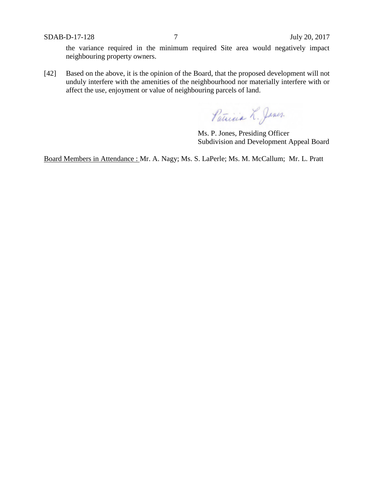SDAB-D-17-128 7 July 20, 2017

the variance required in the minimum required Site area would negatively impact neighbouring property owners.

[42] Based on the above, it is the opinion of the Board, that the proposed development will not unduly interfere with the amenities of the neighbourhood nor materially interfere with or affect the use, enjoyment or value of neighbouring parcels of land.

Patricia L. Jones.

Ms. P. Jones, Presiding Officer Subdivision and Development Appeal Board

Board Members in Attendance : Mr. A. Nagy; Ms. S. LaPerle; Ms. M. McCallum; Mr. L. Pratt